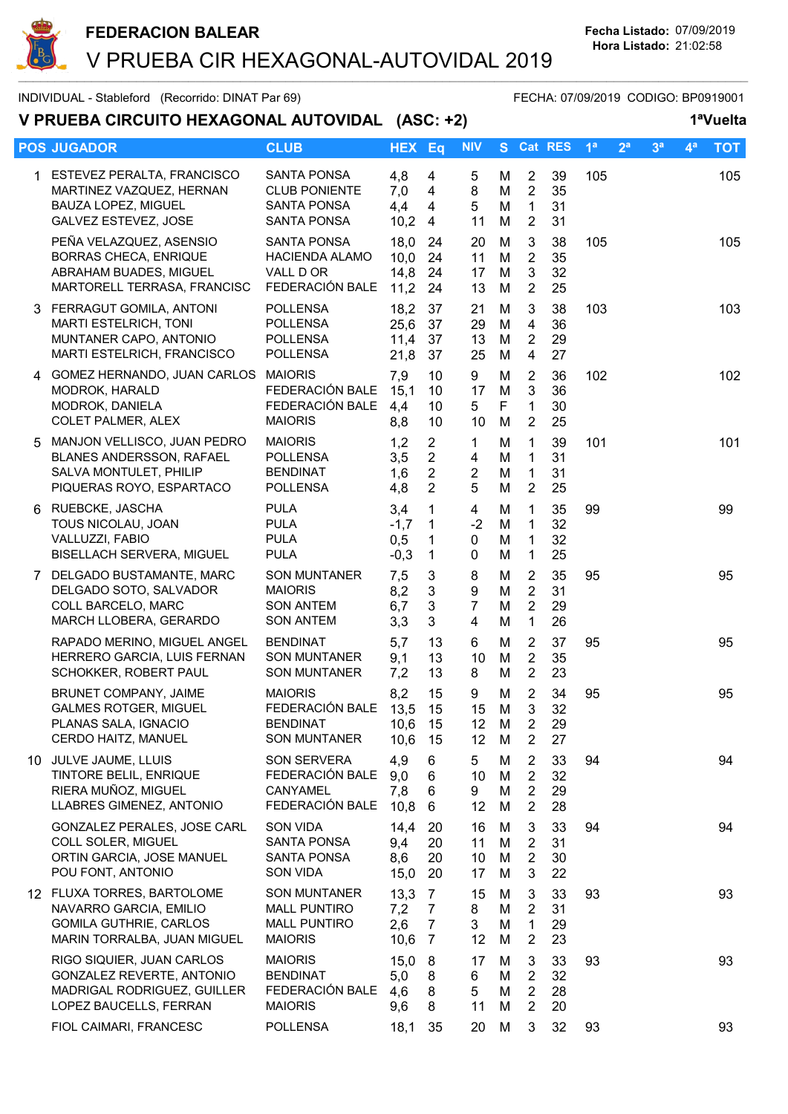

INDIVIDUAL - Stableford (Recorrido: DINAT Par 69) FECHA: 07/09/2019 CODIGO: BP0919001

V PRUEBA CIRCUITO HEXAGONAL AUTOVIDAL (ASC: +2) 1<sup>a</sup>Vuelta

|    | <b>POS JUGADOR</b>                                                                                                    | <b>CLUB</b>                                                                         | <b>HEX Eq</b>                  |                                                                      | <b>NIV</b>                                          |                  |                                                                      | S Cat RES            | 1 <sup>a</sup> | 2 <sup>a</sup> | 3 <sup>a</sup> | 4 <sup>a</sup> | <b>TOT</b> |
|----|-----------------------------------------------------------------------------------------------------------------------|-------------------------------------------------------------------------------------|--------------------------------|----------------------------------------------------------------------|-----------------------------------------------------|------------------|----------------------------------------------------------------------|----------------------|----------------|----------------|----------------|----------------|------------|
|    | 1 ESTEVEZ PERALTA, FRANCISCO<br>MARTINEZ VAZQUEZ, HERNAN<br><b>BAUZA LOPEZ, MIGUEL</b><br><b>GALVEZ ESTEVEZ, JOSE</b> | <b>SANTA PONSA</b><br><b>CLUB PONIENTE</b><br><b>SANTA PONSA</b><br>SANTA PONSA     | 4,8<br>7,0<br>4,4<br>10,2      | 4<br>$\overline{4}$<br>4<br>4                                        | 5<br>8<br>5<br>11                                   | М<br>M<br>M<br>M | $\overline{2}$<br>$\overline{2}$<br>$\mathbf{1}$<br>$\overline{2}$   | 39<br>35<br>31<br>31 | 105            |                |                |                | 105        |
|    | PEÑA VELAZQUEZ, ASENSIO<br><b>BORRAS CHECA, ENRIQUE</b><br>ABRAHAM BUADES, MIGUEL<br>MARTORELL TERRASA, FRANCISC      | SANTA PONSA<br><b>HACIENDA ALAMO</b><br>VALL D OR<br>FEDERACIÓN BALE                | 18,0<br>10,0<br>14,8<br>11,2   | 24<br>24<br>24<br>24                                                 | 20<br>11<br>17<br>13                                | M<br>M<br>M<br>M | 3<br>$\overline{2}$<br>$\mathbf{3}$<br>$\overline{2}$                | 38<br>35<br>32<br>25 | 105            |                |                |                | 105        |
|    | 3 FERRAGUT GOMILA, ANTONI<br>MARTI ESTELRICH, TONI<br>MUNTANER CAPO, ANTONIO<br>MARTI ESTELRICH, FRANCISCO            | <b>POLLENSA</b><br><b>POLLENSA</b><br><b>POLLENSA</b><br><b>POLLENSA</b>            | 18,2<br>25,6<br>11,4<br>21,8   | 37<br>37<br>37<br>37                                                 | 21<br>29<br>13<br>25                                | M<br>M<br>M<br>M | 3<br>$\overline{4}$<br>$\overline{2}$<br>$\overline{4}$              | 38<br>36<br>29<br>27 | 103            |                |                |                | 103        |
|    | 4 GOMEZ HERNANDO, JUAN CARLOS MAIORIS<br>MODROK, HARALD<br>MODROK, DANIELA<br>COLET PALMER, ALEX                      | FEDERACIÓN BALE<br>FEDERACIÓN BALE<br><b>MAIORIS</b>                                | 7,9<br>15,1<br>4,4<br>8,8      | 10<br>10<br>10<br>10                                                 | 9<br>17<br>5<br>10                                  | M<br>M<br>F<br>M | $\overline{2}$<br>$\mathbf{3}$<br>$\mathbf{1}$<br>$\overline{2}$     | 36<br>36<br>30<br>25 | 102            |                |                |                | 102        |
| 5. | MANJON VELLISCO, JUAN PEDRO<br>BLANES ANDERSSON, RAFAEL<br>SALVA MONTULET, PHILIP<br>PIQUERAS ROYO, ESPARTACO         | <b>MAIORIS</b><br><b>POLLENSA</b><br><b>BENDINAT</b><br><b>POLLENSA</b>             | 1,2<br>3,5<br>1,6<br>4,8       | $\overline{2}$<br>$\overline{2}$<br>$\overline{2}$<br>$\overline{2}$ | 1<br>$\overline{\mathbf{4}}$<br>$\overline{2}$<br>5 | M<br>M<br>M<br>M | $\mathbf{1}$<br>$\mathbf{1}$<br>$\mathbf{1}$<br>$\overline{2}$       | 39<br>31<br>31<br>25 | 101            |                |                |                | 101        |
|    | 6 RUEBCKE, JASCHA<br>TOUS NICOLAU, JOAN<br>VALLUZZI, FABIO<br>BISELLACH SERVERA, MIGUEL                               | <b>PULA</b><br><b>PULA</b><br><b>PULA</b><br><b>PULA</b>                            | 3,4<br>$-1,7$<br>0,5<br>$-0,3$ | $\mathbf 1$<br>1<br>$\mathbf{1}$<br>$\mathbf{1}$                     | 4<br>$-2$<br>0<br>0                                 | M<br>M<br>M<br>M | $\mathbf{1}$<br>$\mathbf{1}$<br>$\mathbf{1}$<br>$\mathbf{1}$         | 35<br>32<br>32<br>25 | 99             |                |                |                | 99         |
|    | 7 DELGADO BUSTAMANTE, MARC<br>DELGADO SOTO, SALVADOR<br>COLL BARCELO, MARC<br>MARCH LLOBERA, GERARDO                  | <b>SON MUNTANER</b><br><b>MAIORIS</b><br><b>SON ANTEM</b><br><b>SON ANTEM</b>       | 7,5<br>8,2<br>6,7<br>3,3       | 3<br>$\mathbf{3}$<br>3<br>3                                          | 8<br>9<br>$\overline{7}$<br>$\overline{4}$          | M<br>M<br>M<br>M | $\overline{2}$<br>$\overline{2}$<br>$\overline{2}$<br>$\mathbf{1}$   | 35<br>31<br>29<br>26 | 95             |                |                |                | 95         |
|    | RAPADO MERINO, MIGUEL ANGEL<br>HERRERO GARCIA, LUIS FERNAN<br>SCHOKKER, ROBERT PAUL                                   | <b>BENDINAT</b><br><b>SON MUNTANER</b><br><b>SON MUNTANER</b>                       | 5,7<br>9,1<br>7,2              | 13<br>13<br>13                                                       | 6<br>10<br>8                                        | M<br>M<br>M      | $\overline{2}$<br>$\overline{2}$<br>$\overline{2}$                   | 37<br>35<br>23       | 95             |                |                |                | 95         |
|    | BRUNET COMPANY, JAIME<br><b>GALMES ROTGER, MIGUEL</b><br>PLANAS SALA, IGNACIO<br>CERDO HAITZ, MANUEL                  | <b>MAIORIS</b><br>FEDERACIÓN BALE<br><b>BENDINAT</b><br>SON MUNTANER                | 8,2<br>13,5<br>10,6 15<br>10,6 | 15<br>15<br>15                                                       | 9<br>15<br>12<br>12 <sup>°</sup>                    | M<br>M<br>M<br>M | $\overline{2}$<br>3<br>$\overline{2}$<br>$\overline{2}$              | 34<br>32<br>29<br>27 | 95             |                |                |                | 95         |
|    | 10 JULVE JAUME, LLUIS<br>TINTORE BELIL, ENRIQUE<br>RIERA MUÑOZ, MIGUEL<br>LLABRES GIMENEZ, ANTONIO                    | SON SERVERA<br>FEDERACIÓN BALE<br>CANYAMEL<br>FEDERACIÓN BALE                       | 4,9<br>9,0<br>7,8<br>10,8      | 6<br>6<br>6<br>6                                                     | 5.<br>10<br>9<br>12                                 | M<br>M<br>M<br>M | $\overline{2}$<br>$\overline{2}$<br>$\overline{2}$<br>$\overline{2}$ | 33<br>32<br>29<br>28 | 94             |                |                |                | 94         |
|    | GONZALEZ PERALES, JOSE CARL<br>COLL SOLER, MIGUEL<br>ORTIN GARCIA, JOSE MANUEL<br>POU FONT, ANTONIO                   | <b>SON VIDA</b><br>SANTA PONSA<br>SANTA PONSA<br><b>SON VIDA</b>                    | 14,4<br>9,4<br>8,6<br>15,0     | 20<br>20<br>20<br>20                                                 | 16<br>11<br>10<br>17                                | M<br>M<br>M<br>M | 3<br>$\overline{2}$<br>$\overline{2}$<br>3                           | 33<br>31<br>30<br>22 | 94             |                |                |                | 94         |
|    | 12 FLUXA TORRES, BARTOLOME<br>NAVARRO GARCIA, EMILIO<br><b>GOMILA GUTHRIE, CARLOS</b><br>MARIN TORRALBA, JUAN MIGUEL  | <b>SON MUNTANER</b><br><b>MALL PUNTIRO</b><br><b>MALL PUNTIRO</b><br><b>MAIORIS</b> | 13,3<br>7,2<br>2,6<br>10,6     | 7<br>$\overline{7}$<br>7<br>7                                        | 15<br>8<br>3<br>12                                  | M<br>M<br>M<br>M | 3<br>$\overline{2}$<br>$\mathbf{1}$<br>$\overline{2}$                | 33<br>31<br>29<br>23 | 93             |                |                |                | 93         |
|    | RIGO SIQUIER, JUAN CARLOS<br>GONZALEZ REVERTE, ANTONIO<br>MADRIGAL RODRIGUEZ, GUILLER<br>LOPEZ BAUCELLS, FERRAN       | <b>MAIORIS</b><br><b>BENDINAT</b><br>FEDERACIÓN BALE<br><b>MAIORIS</b>              | 15,0<br>5,0<br>4,6<br>9,6      | 8<br>8<br>8<br>8                                                     | 17<br>6<br>5<br>11                                  | M<br>M<br>M<br>M | 3<br>$\overline{2}$<br>$\overline{2}$<br>$\overline{2}$              | 33<br>32<br>28<br>20 | 93             |                |                |                | 93         |
|    | FIOL CAIMARI, FRANCESC                                                                                                | <b>POLLENSA</b>                                                                     | 18,1                           | 35                                                                   | 20                                                  | M                | 3                                                                    | 32                   | 93             |                |                |                | 93         |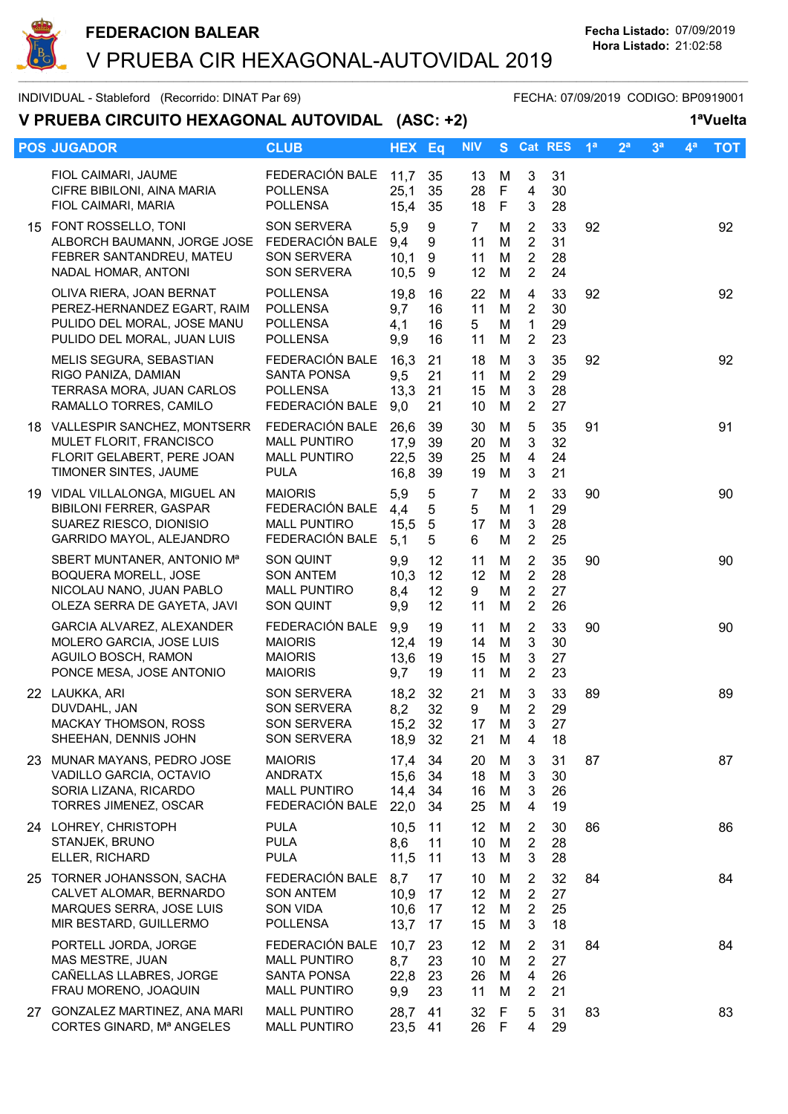

INDIVIDUAL - Stableford (Recorrido: DINAT Par 69) FECHA: 07/09/2019 CODIGO: BP0919001

V PRUEBA CIRCUITO HEXAGONAL AUTOVIDAL (ASC: +2) 1ªVuelta

| <u>V PRUEDA CIRCUITO HEAAGONAL AUTOVIDAL (ASC: +2)</u>                                                                   |                                                                              |                              |                                         |                                                |                       |                                                                      |                      |                |                |                |                | I vuella   |
|--------------------------------------------------------------------------------------------------------------------------|------------------------------------------------------------------------------|------------------------------|-----------------------------------------|------------------------------------------------|-----------------------|----------------------------------------------------------------------|----------------------|----------------|----------------|----------------|----------------|------------|
| <b>POS JUGADOR</b>                                                                                                       | <b>CLUB</b>                                                                  | <b>HEX Eq</b>                |                                         | <b>NIV</b>                                     |                       |                                                                      | S Cat RES            | 1 <sup>a</sup> | 2 <sup>a</sup> | 3 <sup>a</sup> | 4 <sup>a</sup> | <b>TOT</b> |
| FIOL CAIMARI, JAUME<br>CIFRE BIBILONI, AINA MARIA<br>FIOL CAIMARI, MARIA                                                 | FEDERACIÓN BALE<br><b>POLLENSA</b><br><b>POLLENSA</b>                        | 11,7<br>25,1<br>15,4         | 35<br>35<br>35                          | 13<br>28<br>18                                 | M<br>F<br>$\mathsf F$ | 3<br>$\overline{4}$<br>3                                             | 31<br>30<br>28       |                |                |                |                |            |
| 15 FONT ROSSELLO, TONI<br>ALBORCH BAUMANN, JORGE JOSE FEDERACIÓN BALE<br>FEBRER SANTANDREU, MATEU<br>NADAL HOMAR, ANTONI | <b>SON SERVERA</b><br><b>SON SERVERA</b><br>SON SERVERA                      | 5,9<br>9,4<br>10,1<br>10,5   | 9<br>9<br>9<br>9                        | 7<br>11<br>11<br>12                            | M<br>M<br>M<br>M      | 2<br>$\overline{2}$<br>$\overline{2}$<br>$\overline{2}$              | 33<br>31<br>28<br>24 | 92             |                |                |                | 92         |
| OLIVA RIERA, JOAN BERNAT<br>PEREZ-HERNANDEZ EGART, RAIM<br>PULIDO DEL MORAL, JOSE MANU<br>PULIDO DEL MORAL, JUAN LUIS    | <b>POLLENSA</b><br><b>POLLENSA</b><br><b>POLLENSA</b><br><b>POLLENSA</b>     | 19,8<br>9,7<br>4,1<br>9,9    | 16<br>16<br>16<br>16                    | 22<br>11<br>5<br>11                            | M<br>M<br>M<br>M      | 4<br>$\overline{2}$<br>$\mathbf{1}$<br>$\overline{2}$                | 33<br>30<br>29<br>23 | 92             |                |                |                | 92         |
| MELIS SEGURA, SEBASTIAN<br>RIGO PANIZA, DAMIAN<br>TERRASA MORA, JUAN CARLOS<br>RAMALLO TORRES, CAMILO                    | FEDERACIÓN BALE<br><b>SANTA PONSA</b><br><b>POLLENSA</b><br>FEDERACIÓN BALE  | 16,3<br>9,5<br>13,3<br>9,0   | 21<br>21<br>21<br>21                    | 18<br>11<br>15<br>10                           | M<br>M<br>M<br>M      | 3<br>2<br>$\mathbf{3}$<br>$\overline{2}$                             | 35<br>29<br>28<br>27 | 92             |                |                |                | 92         |
| 18 VALLESPIR SANCHEZ, MONTSERR<br>MULET FLORIT, FRANCISCO<br>FLORIT GELABERT, PERE JOAN<br>TIMONER SINTES, JAUME         | FEDERACIÓN BALE<br><b>MALL PUNTIRO</b><br><b>MALL PUNTIRO</b><br><b>PULA</b> | 26,6<br>17,9<br>22,5<br>16,8 | 39<br>39<br>39<br>39                    | 30<br>20<br>25<br>19                           | M<br>M<br>M<br>M      | 5<br>3<br>$\overline{4}$<br>3                                        | 35<br>32<br>24<br>21 | 91             |                |                |                | 91         |
| 19 VIDAL VILLALONGA, MIGUEL AN<br><b>BIBILONI FERRER, GASPAR</b><br>SUAREZ RIESCO, DIONISIO<br>GARRIDO MAYOL, ALEJANDRO  | <b>MAIORIS</b><br>FEDERACIÓN BALE<br><b>MALL PUNTIRO</b><br>FEDERACIÓN BALE  | 5,9<br>4,4<br>15,5<br>5,1    | 5<br>$5\phantom{.0}$<br>$\sqrt{5}$<br>5 | $\overline{7}$<br>5<br>17<br>6                 | M<br>M<br>M<br>M      | $\overline{2}$<br>$\mathbf{1}$<br>$\mathbf{3}$<br>$\overline{2}$     | 33<br>29<br>28<br>25 | 90             |                |                |                | 90         |
| SBERT MUNTANER, ANTONIO Mª<br><b>BOQUERA MORELL, JOSE</b><br>NICOLAU NANO, JUAN PABLO<br>OLEZA SERRA DE GAYETA, JAVI     | <b>SON QUINT</b><br><b>SON ANTEM</b><br><b>MALL PUNTIRO</b><br>SON QUINT     | 9,9<br>10,3<br>8,4<br>9,9    | 12<br>12<br>12<br>12                    | 11<br>12 <sup>°</sup><br>9<br>11               | M<br>M<br>M<br>M      | $\overline{2}$<br>$\overline{2}$<br>$\overline{2}$<br>$\overline{2}$ | 35<br>28<br>27<br>26 | 90             |                |                |                | 90         |
| GARCIA ALVAREZ, ALEXANDER<br>MOLERO GARCIA, JOSE LUIS<br>AGUILO BOSCH, RAMON<br>PONCE MESA, JOSE ANTONIO                 | FEDERACIÓN BALE<br><b>MAIORIS</b><br><b>MAIORIS</b><br><b>MAIORIS</b>        | 9,9<br>12,4<br>13,6<br>9,7   | 19<br>19<br>19<br>19                    | 11<br>14<br>15<br>11                           | M<br>M<br>M<br>M      | $\overline{2}$<br>$\mathbf{3}$<br>3<br>$\overline{2}$                | 33<br>30<br>27<br>23 | 90             |                |                |                | 90         |
| 22 LAUKKA, ARI<br>DUVDAHL, JAN<br><b>MACKAY THOMSON, ROSS</b><br>SHEEHAN, DENNIS JOHN                                    | <b>SON SERVERA</b><br>SON SERVERA<br><b>SON SERVERA</b><br>SON SERVERA       | 18,2<br>8,2<br>15,2<br>18,9  | 32<br>32<br>- 32<br>32                  | 21<br>9<br>17<br>21                            | M<br>М<br>M<br>M      | 3<br>2<br>3<br>$\overline{4}$                                        | 33<br>29<br>27<br>18 | 89             |                |                |                | 89         |
| 23 MUNAR MAYANS, PEDRO JOSE<br>VADILLO GARCIA, OCTAVIO<br>SORIA LIZANA, RICARDO<br>TORRES JIMENEZ, OSCAR                 | <b>MAIORIS</b><br><b>ANDRATX</b><br><b>MALL PUNTIRO</b><br>FEDERACIÓN BALE   | 17,4<br>15,6<br>14,4<br>22,0 | 34<br>34<br>34<br>34                    | 20<br>18<br>16<br>25                           | M<br>M<br>M<br>M      | 3<br>3<br>3<br>4                                                     | 31<br>30<br>26<br>19 | 87             |                |                |                | 87         |
| 24 LOHREY, CHRISTOPH<br>STANJEK, BRUNO<br>ELLER, RICHARD                                                                 | <b>PULA</b><br><b>PULA</b><br><b>PULA</b>                                    | 10,5<br>8,6<br>11,5          | 11<br>11<br>11                          | 12<br>10 <sup>°</sup><br>13                    | M<br>M<br>M           | $\overline{2}$<br>$\overline{2}$<br>3                                | 30<br>28<br>28       | 86             |                |                |                | 86         |
| 25 TORNER JOHANSSON, SACHA<br>CALVET ALOMAR, BERNARDO<br>MARQUES SERRA, JOSE LUIS<br>MIR BESTARD, GUILLERMO              | FEDERACIÓN BALE<br><b>SON ANTEM</b><br><b>SON VIDA</b><br><b>POLLENSA</b>    | 8,7<br>10,9<br>10,6<br>13,7  | 17<br>17<br>17<br>17                    | 10<br>12 <sup>°</sup><br>12 <sup>°</sup><br>15 | M<br>M<br>M<br>M      | $\overline{2}$<br>$\overline{2}$<br>$\overline{2}$<br>3              | 32<br>27<br>25<br>18 | 84             |                |                |                | 84         |
| PORTELL JORDA, JORGE<br>MAS MESTRE, JUAN<br>CAÑELLAS LLABRES, JORGE<br>FRAU MORENO, JOAQUIN                              | FEDERACIÓN BALE<br><b>MALL PUNTIRO</b><br>SANTA PONSA<br><b>MALL PUNTIRO</b> | 10,7<br>8,7<br>22,8<br>9,9   | 23<br>23<br>23<br>23                    | 12<br>10<br>26<br>11                           | M<br>M<br>M<br>M      | 2<br>$\overline{2}$<br>$\overline{4}$<br>$\overline{2}$              | 31<br>27<br>26<br>21 | 84             |                |                |                | 84         |
| 27 GONZALEZ MARTINEZ, ANA MARI<br>CORTES GINARD, Mª ANGELES                                                              | <b>MALL PUNTIRO</b><br><b>MALL PUNTIRO</b>                                   | 28,7<br>23,5 41              | 41                                      | 32<br>26                                       | F<br>F                | 5<br>4                                                               | 31<br>29             | 83             |                |                |                | 83         |